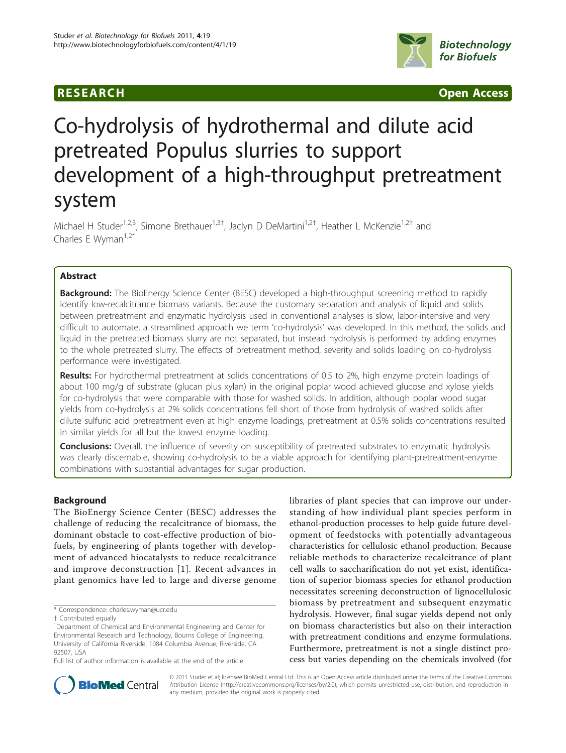# **RESEARCH Open Access**



# Co-hydrolysis of hydrothermal and dilute acid pretreated Populus slurries to support development of a high-throughput pretreatment system

Michael H Studer<sup>1,2,3</sup>, Simone Brethauer<sup>1,3†</sup>, Jaclyn D DeMartini<sup>1,2†</sup>, Heather L McKenzie<sup>1,2†</sup> and Charles E Wyman $1,2^*$ 

# Abstract

**Background:** The BioEnergy Science Center (BESC) developed a high-throughput screening method to rapidly identify low-recalcitrance biomass variants. Because the customary separation and analysis of liquid and solids between pretreatment and enzymatic hydrolysis used in conventional analyses is slow, labor-intensive and very difficult to automate, a streamlined approach we term 'co-hydrolysis' was developed. In this method, the solids and liquid in the pretreated biomass slurry are not separated, but instead hydrolysis is performed by adding enzymes to the whole pretreated slurry. The effects of pretreatment method, severity and solids loading on co-hydrolysis performance were investigated.

Results: For hydrothermal pretreatment at solids concentrations of 0.5 to 2%, high enzyme protein loadings of about 100 mg/g of substrate (glucan plus xylan) in the original poplar wood achieved glucose and xylose yields for co-hydrolysis that were comparable with those for washed solids. In addition, although poplar wood sugar yields from co-hydrolysis at 2% solids concentrations fell short of those from hydrolysis of washed solids after dilute sulfuric acid pretreatment even at high enzyme loadings, pretreatment at 0.5% solids concentrations resulted in similar yields for all but the lowest enzyme loading.

**Conclusions:** Overall, the influence of severity on susceptibility of pretreated substrates to enzymatic hydrolysis was clearly discernable, showing co-hydrolysis to be a viable approach for identifying plant-pretreatment-enzyme combinations with substantial advantages for sugar production.

# Background

The BioEnergy Science Center (BESC) addresses the challenge of reducing the recalcitrance of biomass, the dominant obstacle to cost-effective production of biofuels, by engineering of plants together with development of advanced biocatalysts to reduce recalcitrance and improve deconstruction [[1](#page-8-0)]. Recent advances in plant genomics have led to large and diverse genome

libraries of plant species that can improve our understanding of how individual plant species perform in ethanol-production processes to help guide future development of feedstocks with potentially advantageous characteristics for cellulosic ethanol production. Because reliable methods to characterize recalcitrance of plant cell walls to saccharification do not yet exist, identification of superior biomass species for ethanol production necessitates screening deconstruction of lignocellulosic biomass by pretreatment and subsequent enzymatic hydrolysis. However, final sugar yields depend not only on biomass characteristics but also on their interaction with pretreatment conditions and enzyme formulations. Furthermore, pretreatment is not a single distinct process but varies depending on the chemicals involved (for



© 2011 Studer et al; licensee BioMed Central Ltd. This is an Open Access article distributed under the terms of the Creative Commons Attribution License [\(http://creativecommons.org/licenses/by/2.0](http://creativecommons.org/licenses/by/2.0)), which permits unrestricted use, distribution, and reproduction in any medium, provided the original work is properly cited.

<sup>\*</sup> Correspondence: [charles.wyman@ucr.edu](mailto:charles.wyman@ucr.edu)

<sup>†</sup> Contributed equally <sup>1</sup>

<sup>&</sup>lt;sup>1</sup>Department of Chemical and Environmental Engineering and Center for Environmental Research and Technology, Bourns College of Engineering, University of California Riverside, 1084 Columbia Avenue, Riverside, CA 92507, USA

Full list of author information is available at the end of the article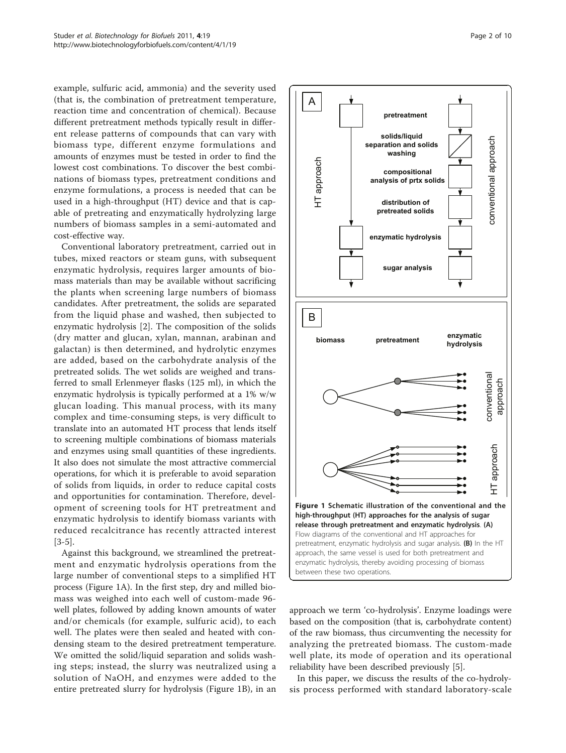example, sulfuric acid, ammonia) and the severity used (that is, the combination of pretreatment temperature, reaction time and concentration of chemical). Because different pretreatment methods typically result in different release patterns of compounds that can vary with biomass type, different enzyme formulations and amounts of enzymes must be tested in order to find the lowest cost combinations. To discover the best combinations of biomass types, pretreatment conditions and enzyme formulations, a process is needed that can be used in a high-throughput (HT) device and that is capable of pretreating and enzymatically hydrolyzing large numbers of biomass samples in a semi-automated and cost-effective way.

Conventional laboratory pretreatment, carried out in tubes, mixed reactors or steam guns, with subsequent enzymatic hydrolysis, requires larger amounts of biomass materials than may be available without sacrificing the plants when screening large numbers of biomass candidates. After pretreatment, the solids are separated from the liquid phase and washed, then subjected to enzymatic hydrolysis [\[2](#page-9-0)]. The composition of the solids (dry matter and glucan, xylan, mannan, arabinan and galactan) is then determined, and hydrolytic enzymes are added, based on the carbohydrate analysis of the pretreated solids. The wet solids are weighed and transferred to small Erlenmeyer flasks (125 ml), in which the enzymatic hydrolysis is typically performed at a 1% w/w glucan loading. This manual process, with its many complex and time-consuming steps, is very difficult to translate into an automated HT process that lends itself to screening multiple combinations of biomass materials and enzymes using small quantities of these ingredients. It also does not simulate the most attractive commercial operations, for which it is preferable to avoid separation of solids from liquids, in order to reduce capital costs and opportunities for contamination. Therefore, development of screening tools for HT pretreatment and enzymatic hydrolysis to identify biomass variants with reduced recalcitrance has recently attracted interest [[3-5](#page-9-0)].

Against this background, we streamlined the pretreatment and enzymatic hydrolysis operations from the large number of conventional steps to a simplified HT process (Figure 1A). In the first step, dry and milled biomass was weighed into each well of custom-made 96 well plates, followed by adding known amounts of water and/or chemicals (for example, sulfuric acid), to each well. The plates were then sealed and heated with condensing steam to the desired pretreatment temperature. We omitted the solid/liquid separation and solids washing steps; instead, the slurry was neutralized using a solution of NaOH, and enzymes were added to the entire pretreated slurry for hydrolysis (Figure 1B), in an



A

HT approach

HT approach

B



approach we term 'co-hydrolysis'. Enzyme loadings were based on the composition (that is, carbohydrate content) of the raw biomass, thus circumventing the necessity for analyzing the pretreated biomass. The custom-made well plate, its mode of operation and its operational reliability have been described previously [\[5](#page-9-0)].

In this paper, we discuss the results of the co-hydrolysis process performed with standard laboratory-scale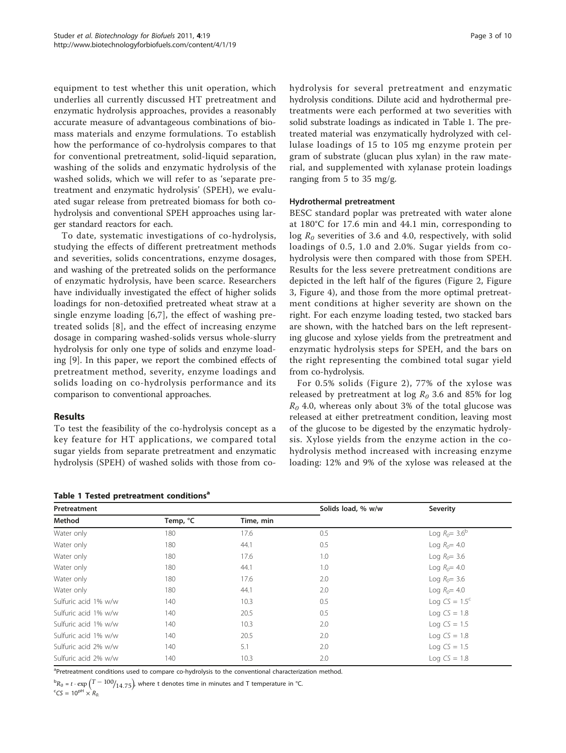<span id="page-2-0"></span>equipment to test whether this unit operation, which underlies all currently discussed HT pretreatment and enzymatic hydrolysis approaches, provides a reasonably accurate measure of advantageous combinations of biomass materials and enzyme formulations. To establish how the performance of co-hydrolysis compares to that for conventional pretreatment, solid-liquid separation, washing of the solids and enzymatic hydrolysis of the washed solids, which we will refer to as 'separate pretreatment and enzymatic hydrolysis' (SPEH), we evaluated sugar release from pretreated biomass for both cohydrolysis and conventional SPEH approaches using larger standard reactors for each.

To date, systematic investigations of co-hydrolysis, studying the effects of different pretreatment methods and severities, solids concentrations, enzyme dosages, and washing of the pretreated solids on the performance of enzymatic hydrolysis, have been scarce. Researchers have individually investigated the effect of higher solids loadings for non-detoxified pretreated wheat straw at a single enzyme loading [\[6](#page-9-0),[7\]](#page-9-0), the effect of washing pretreated solids [[8\]](#page-9-0), and the effect of increasing enzyme dosage in comparing washed-solids versus whole-slurry hydrolysis for only one type of solids and enzyme loading [\[9\]](#page-9-0). In this paper, we report the combined effects of pretreatment method, severity, enzyme loadings and solids loading on co-hydrolysis performance and its comparison to conventional approaches.

# Results

To test the feasibility of the co-hydrolysis concept as a key feature for HT applications, we compared total sugar yields from separate pretreatment and enzymatic hydrolysis (SPEH) of washed solids with those from co-

Table 1 Tested pretreatment conditions<sup>8</sup>

hydrolysis for several pretreatment and enzymatic hydrolysis conditions. Dilute acid and hydrothermal pretreatments were each performed at two severities with solid substrate loadings as indicated in Table 1. The pretreated material was enzymatically hydrolyzed with cellulase loadings of 15 to 105 mg enzyme protein per gram of substrate (glucan plus xylan) in the raw material, and supplemented with xylanase protein loadings ranging from 5 to 35 mg/g.

## Hydrothermal pretreatment

BESC standard poplar was pretreated with water alone at 180°C for 17.6 min and 44.1 min, corresponding to  $\log R_0$  severities of 3.6 and 4.0, respectively, with solid loadings of 0.5, 1.0 and 2.0%. Sugar yields from cohydrolysis were then compared with those from SPEH. Results for the less severe pretreatment conditions are depicted in the left half of the figures (Figure [2](#page-3-0), Figure [3,](#page-3-0) Figure [4\)](#page-4-0), and those from the more optimal pretreatment conditions at higher severity are shown on the right. For each enzyme loading tested, two stacked bars are shown, with the hatched bars on the left representing glucose and xylose yields from the pretreatment and enzymatic hydrolysis steps for SPEH, and the bars on the right representing the combined total sugar yield from co-hydrolysis.

For 0.5% solids (Figure [2\)](#page-3-0), 77% of the xylose was released by pretreatment at log  $R_0$  3.6 and 85% for log  $R_0$  4.0, whereas only about 3% of the total glucose was released at either pretreatment condition, leaving most of the glucose to be digested by the enzymatic hydrolysis. Xylose yields from the enzyme action in the cohydrolysis method increased with increasing enzyme loading: 12% and 9% of the xylose was released at the

| Pretreatment         |          |           | Solids load, % w/w | Severity                |
|----------------------|----------|-----------|--------------------|-------------------------|
| Method               | Temp, °C | Time, min |                    |                         |
| Water only           | 180      | 17.6      | 0.5                | Log $R_0 = 3.6^{\rm b}$ |
| Water only           | 180      | 44.1      | 0.5                | Log $R_0$ = 4.0         |
| Water only           | 180      | 17.6      | 1.0                | Log $R_0 = 3.6$         |
| Water only           | 180      | 44.1      | 1.0                | Log $R_0 = 4.0$         |
| Water only           | 180      | 17.6      | 2.0                | Log $R_0 = 3.6$         |
| Water only           | 180      | 44.1      | 2.0                | Log $R_0$ = 4.0         |
| Sulfuric acid 1% w/w | 140      | 10.3      | 0.5                | Log $CS = 1.5^c$        |
| Sulfuric acid 1% w/w | 140      | 20.5      | 0.5                | Log $CS = 1.8$          |
| Sulfuric acid 1% w/w | 140      | 10.3      | 2.0                | Log $CS = 1.5$          |
| Sulfuric acid 1% w/w | 140      | 20.5      | 2.0                | Log $CS = 1.8$          |
| Sulfuric acid 2% w/w | 140      | 5.1       | 2.0                | Log $CS = 1.5$          |
| Sulfuric acid 2% w/w | 140      | 10.3      | 2.0                | Log $CS = 1.8$          |

<sup>a</sup>Pretreatment conditions used to compare co-hydrolysis to the conventional characterization method.

 $^{\text{b}}R_0$  = *t* ·  $\exp{\left(T - 100 \right)_{14.75}}$  where t denotes time in minutes and T temperature in °C.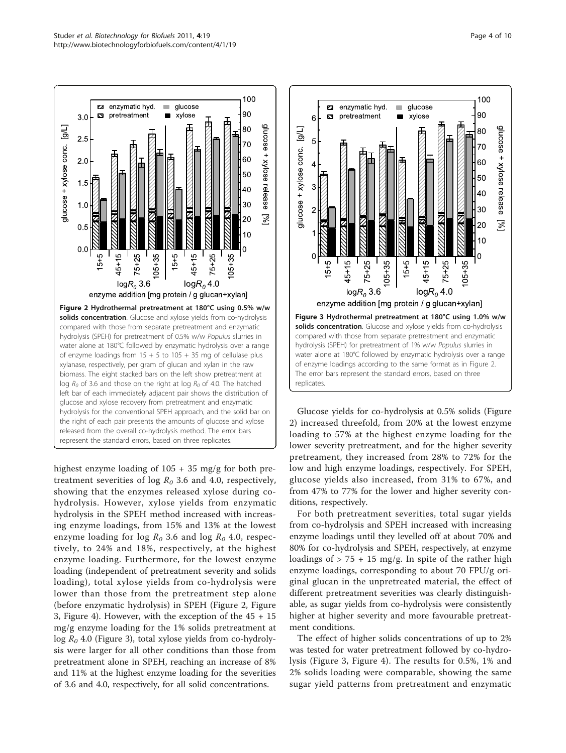<span id="page-3-0"></span>

highest enzyme loading of 105 + 35 mg/g for both pretreatment severities of log  $R_0$  3.6 and 4.0, respectively, showing that the enzymes released xylose during cohydrolysis. However, xylose yields from enzymatic hydrolysis in the SPEH method increased with increasing enzyme loadings, from 15% and 13% at the lowest enzyme loading for log  $R_0$  3.6 and log  $R_0$  4.0, respectively, to 24% and 18%, respectively, at the highest enzyme loading. Furthermore, for the lowest enzyme loading (independent of pretreatment severity and solids loading), total xylose yields from co-hydrolysis were lower than those from the pretreatment step alone (before enzymatic hydrolysis) in SPEH (Figure 2, Figure 3, Figure [4\)](#page-4-0). However, with the exception of the 45 + 15 mg/g enzyme loading for the 1% solids pretreatment at  $log R_0$  4.0 (Figure 3), total xylose yields from co-hydrolysis were larger for all other conditions than those from pretreatment alone in SPEH, reaching an increase of 8% and 11% at the highest enzyme loading for the severities of 3.6 and 4.0, respectively, for all solid concentrations.



Glucose yields for co-hydrolysis at 0.5% solids (Figure 2) increased threefold, from 20% at the lowest enzyme loading to 57% at the highest enzyme loading for the lower severity pretreatment, and for the higher severity pretreament, they increased from 28% to 72% for the low and high enzyme loadings, respectively. For SPEH, glucose yields also increased, from 31% to 67%, and from 47% to 77% for the lower and higher severity conditions, respectively.

For both pretreatment severities, total sugar yields from co-hydrolysis and SPEH increased with increasing enzyme loadings until they levelled off at about 70% and 80% for co-hydrolysis and SPEH, respectively, at enzyme loadings of  $> 75 + 15$  mg/g. In spite of the rather high enzyme loadings, corresponding to about 70 FPU/g original glucan in the unpretreated material, the effect of different pretreatment severities was clearly distinguishable, as sugar yields from co-hydrolysis were consistently higher at higher severity and more favourable pretreatment conditions.

The effect of higher solids concentrations of up to 2% was tested for water pretreatment followed by co-hydrolysis (Figure 3, Figure [4\)](#page-4-0). The results for 0.5%, 1% and 2% solids loading were comparable, showing the same sugar yield patterns from pretreatment and enzymatic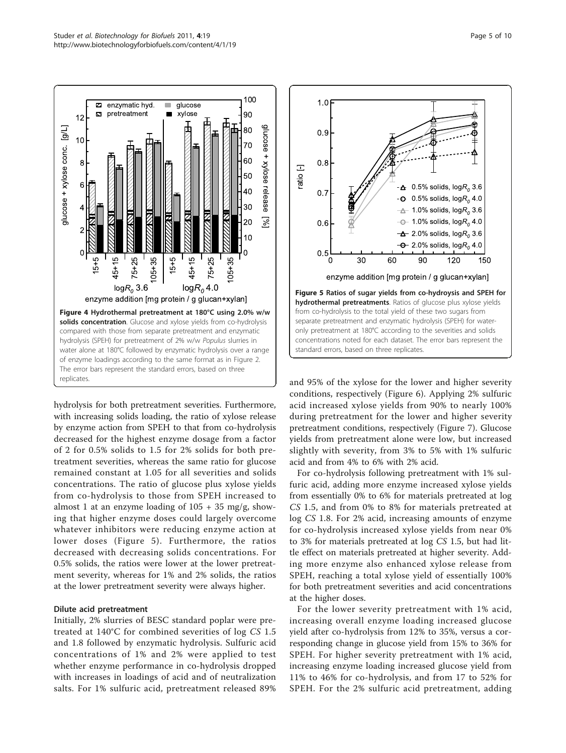<span id="page-4-0"></span>

hydrolysis for both pretreatment severities. Furthermore, with increasing solids loading, the ratio of xylose release by enzyme action from SPEH to that from co-hydrolysis decreased for the highest enzyme dosage from a factor of 2 for 0.5% solids to 1.5 for 2% solids for both pretreatment severities, whereas the same ratio for glucose remained constant at 1.05 for all severities and solids concentrations. The ratio of glucose plus xylose yields from co-hydrolysis to those from SPEH increased to almost 1 at an enzyme loading of  $105 + 35$  mg/g, showing that higher enzyme doses could largely overcome whatever inhibitors were reducing enzyme action at lower doses (Figure 5). Furthermore, the ratios decreased with decreasing solids concentrations. For 0.5% solids, the ratios were lower at the lower pretreatment severity, whereas for 1% and 2% solids, the ratios at the lower pretreatment severity were always higher.

#### Dilute acid pretreatment

Initially, 2% slurries of BESC standard poplar were pretreated at 140°C for combined severities of log CS 1.5 and 1.8 followed by enzymatic hydrolysis. Sulfuric acid concentrations of 1% and 2% were applied to test whether enzyme performance in co-hydrolysis dropped with increases in loadings of acid and of neutralization salts. For 1% sulfuric acid, pretreatment released 89%



and 95% of the xylose for the lower and higher severity conditions, respectively (Figure [6\)](#page-5-0). Applying 2% sulfuric acid increased xylose yields from 90% to nearly 100% during pretreatment for the lower and higher severity pretreatment conditions, respectively (Figure [7](#page-5-0)). Glucose yields from pretreatment alone were low, but increased slightly with severity, from 3% to 5% with 1% sulfuric acid and from 4% to 6% with 2% acid.

For co-hydrolysis following pretreatment with 1% sulfuric acid, adding more enzyme increased xylose yields from essentially 0% to 6% for materials pretreated at log CS 1.5, and from 0% to 8% for materials pretreated at log CS 1.8. For 2% acid, increasing amounts of enzyme for co-hydrolysis increased xylose yields from near 0% to 3% for materials pretreated at log CS 1.5, but had little effect on materials pretreated at higher severity. Adding more enzyme also enhanced xylose release from SPEH, reaching a total xylose yield of essentially 100% for both pretreatment severities and acid concentrations at the higher doses.

For the lower severity pretreatment with 1% acid, increasing overall enzyme loading increased glucose yield after co-hydrolysis from 12% to 35%, versus a corresponding change in glucose yield from 15% to 36% for SPEH. For higher severity pretreatment with 1% acid, increasing enzyme loading increased glucose yield from 11% to 46% for co-hydrolysis, and from 17 to 52% for SPEH. For the 2% sulfuric acid pretreatment, adding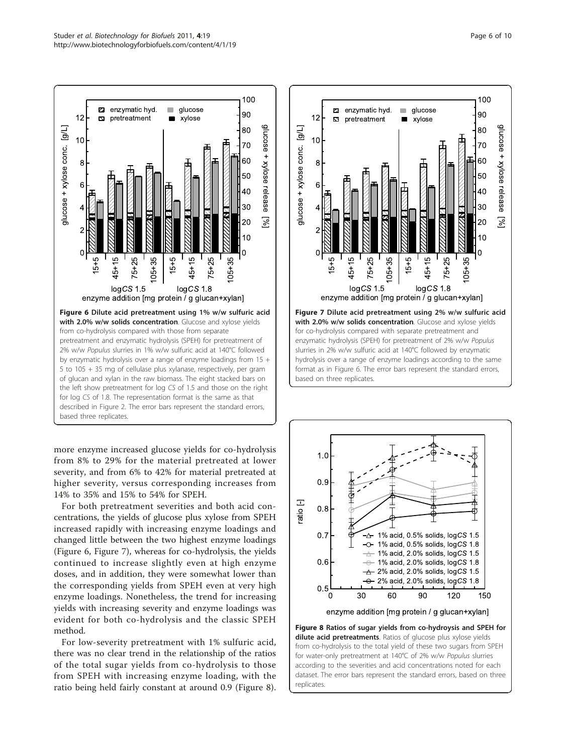<span id="page-5-0"></span>

more enzyme increased glucose yields for co-hydrolysis from 8% to 29% for the material pretreated at lower severity, and from 6% to 42% for material pretreated at higher severity, versus corresponding increases from 14% to 35% and 15% to 54% for SPEH.

For both pretreatment severities and both acid concentrations, the yields of glucose plus xylose from SPEH increased rapidly with increasing enzyme loadings and changed little between the two highest enzyme loadings (Figure 6, Figure 7), whereas for co-hydrolysis, the yields continued to increase slightly even at high enzyme doses, and in addition, they were somewhat lower than the corresponding yields from SPEH even at very high enzyme loadings. Nonetheless, the trend for increasing yields with increasing severity and enzyme loadings was evident for both co-hydrolysis and the classic SPEH method.

For low-severity pretreatment with 1% sulfuric acid, there was no clear trend in the relationship of the ratios of the total sugar yields from co-hydrolysis to those from SPEH with increasing enzyme loading, with the ratio being held fairly constant at around 0.9 (Figure 8).





dilute acid pretreatments. Ratios of glucose plus xylose yields from co-hydrolysis to the total yield of these two sugars from SPEH for water-only pretreatment at 140°C of 2% w/w Populus slurries according to the severities and acid concentrations noted for each dataset. The error bars represent the standard errors, based on three replicates.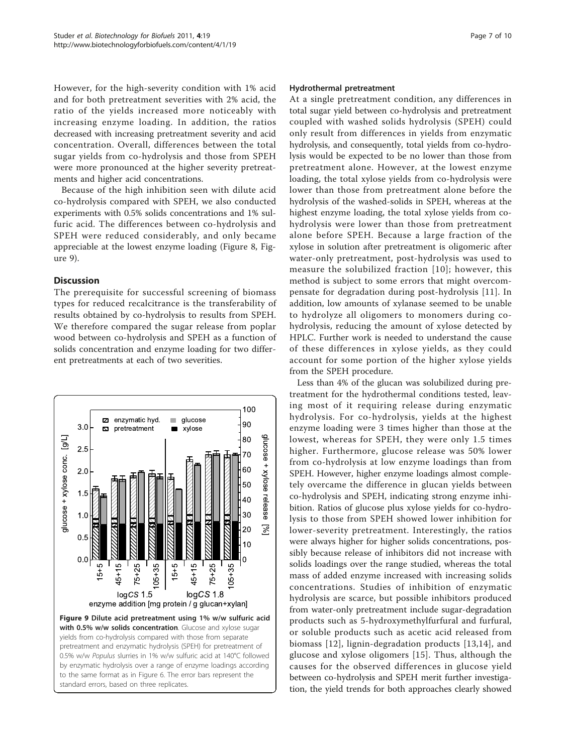However, for the high-severity condition with 1% acid and for both pretreatment severities with 2% acid, the ratio of the yields increased more noticeably with increasing enzyme loading. In addition, the ratios decreased with increasing pretreatment severity and acid concentration. Overall, differences between the total sugar yields from co-hydrolysis and those from SPEH were more pronounced at the higher severity pretreatments and higher acid concentrations.

Because of the high inhibition seen with dilute acid co-hydrolysis compared with SPEH, we also conducted experiments with 0.5% solids concentrations and 1% sulfuric acid. The differences between co-hydrolysis and SPEH were reduced considerably, and only became appreciable at the lowest enzyme loading (Figure [8,](#page-5-0) Figure 9).

# **Discussion**

The prerequisite for successful screening of biomass types for reduced recalcitrance is the transferability of results obtained by co-hydrolysis to results from SPEH. We therefore compared the sugar release from poplar wood between co-hydrolysis and SPEH as a function of solids concentration and enzyme loading for two different pretreatments at each of two severities.



#### Hydrothermal pretreatment

At a single pretreatment condition, any differences in total sugar yield between co-hydrolysis and pretreatment coupled with washed solids hydrolysis (SPEH) could only result from differences in yields from enzymatic hydrolysis, and consequently, total yields from co-hydrolysis would be expected to be no lower than those from pretreatment alone. However, at the lowest enzyme loading, the total xylose yields from co-hydrolysis were lower than those from pretreatment alone before the hydrolysis of the washed-solids in SPEH, whereas at the highest enzyme loading, the total xylose yields from cohydrolysis were lower than those from pretreatment alone before SPEH. Because a large fraction of the xylose in solution after pretreatment is oligomeric after water-only pretreatment, post-hydrolysis was used to measure the solubilized fraction [[10\]](#page-9-0); however, this method is subject to some errors that might overcompensate for degradation during post-hydrolysis [[11\]](#page-9-0). In addition, low amounts of xylanase seemed to be unable to hydrolyze all oligomers to monomers during cohydrolysis, reducing the amount of xylose detected by HPLC. Further work is needed to understand the cause of these differences in xylose yields, as they could account for some portion of the higher xylose yields from the SPEH procedure.

Less than 4% of the glucan was solubilized during pretreatment for the hydrothermal conditions tested, leaving most of it requiring release during enzymatic hydrolysis. For co-hydrolysis, yields at the highest enzyme loading were 3 times higher than those at the lowest, whereas for SPEH, they were only 1.5 times higher. Furthermore, glucose release was 50% lower from co-hydrolysis at low enzyme loadings than from SPEH. However, higher enzyme loadings almost completely overcame the difference in glucan yields between co-hydrolysis and SPEH, indicating strong enzyme inhibition. Ratios of glucose plus xylose yields for co-hydrolysis to those from SPEH showed lower inhibition for lower-severity pretreatment. Interestingly, the ratios were always higher for higher solids concentrations, possibly because release of inhibitors did not increase with solids loadings over the range studied, whereas the total mass of added enzyme increased with increasing solids concentrations. Studies of inhibition of enzymatic hydrolysis are scarce, but possible inhibitors produced from water-only pretreatment include sugar-degradation products such as 5-hydroxymethylfurfural and furfural, or soluble products such as acetic acid released from biomass [[12\]](#page-9-0), lignin-degradation products [\[13,14](#page-9-0)], and glucose and xylose oligomers [\[15\]](#page-9-0). Thus, although the causes for the observed differences in glucose yield between co-hydrolysis and SPEH merit further investigation, the yield trends for both approaches clearly showed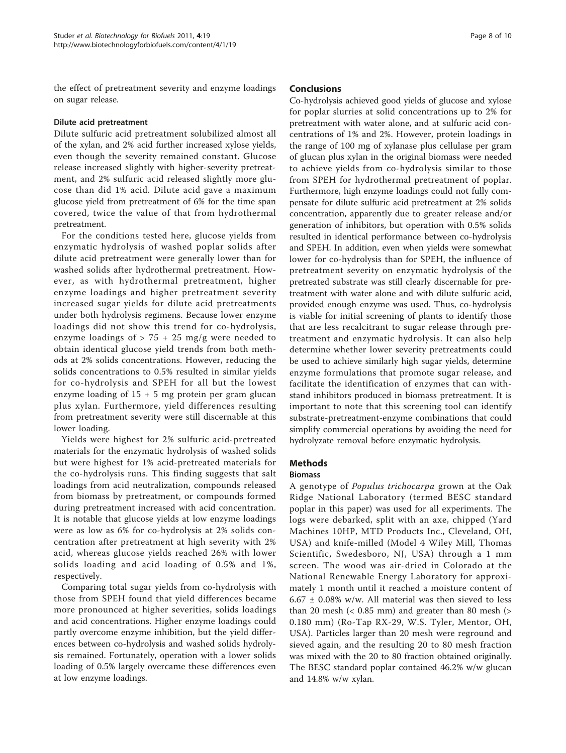the effect of pretreatment severity and enzyme loadings on sugar release.

## Dilute acid pretreatment

Dilute sulfuric acid pretreatment solubilized almost all of the xylan, and 2% acid further increased xylose yields, even though the severity remained constant. Glucose release increased slightly with higher-severity pretreatment, and 2% sulfuric acid released slightly more glucose than did 1% acid. Dilute acid gave a maximum glucose yield from pretreatment of 6% for the time span covered, twice the value of that from hydrothermal pretreatment.

For the conditions tested here, glucose yields from enzymatic hydrolysis of washed poplar solids after dilute acid pretreatment were generally lower than for washed solids after hydrothermal pretreatment. However, as with hydrothermal pretreatment, higher enzyme loadings and higher pretreatment severity increased sugar yields for dilute acid pretreatments under both hydrolysis regimens. Because lower enzyme loadings did not show this trend for co-hydrolysis, enzyme loadings of  $> 75 + 25$  mg/g were needed to obtain identical glucose yield trends from both methods at 2% solids concentrations. However, reducing the solids concentrations to 0.5% resulted in similar yields for co-hydrolysis and SPEH for all but the lowest enzyme loading of  $15 + 5$  mg protein per gram glucan plus xylan. Furthermore, yield differences resulting from pretreatment severity were still discernable at this lower loading.

Yields were highest for 2% sulfuric acid-pretreated materials for the enzymatic hydrolysis of washed solids but were highest for 1% acid-pretreated materials for the co-hydrolysis runs. This finding suggests that salt loadings from acid neutralization, compounds released from biomass by pretreatment, or compounds formed during pretreatment increased with acid concentration. It is notable that glucose yields at low enzyme loadings were as low as 6% for co-hydrolysis at 2% solids concentration after pretreatment at high severity with 2% acid, whereas glucose yields reached 26% with lower solids loading and acid loading of 0.5% and 1%, respectively.

Comparing total sugar yields from co-hydrolysis with those from SPEH found that yield differences became more pronounced at higher severities, solids loadings and acid concentrations. Higher enzyme loadings could partly overcome enzyme inhibition, but the yield differences between co-hydrolysis and washed solids hydrolysis remained. Fortunately, operation with a lower solids loading of 0.5% largely overcame these differences even at low enzyme loadings.

## Conclusions

Co-hydrolysis achieved good yields of glucose and xylose for poplar slurries at solid concentrations up to 2% for pretreatment with water alone, and at sulfuric acid concentrations of 1% and 2%. However, protein loadings in the range of 100 mg of xylanase plus cellulase per gram of glucan plus xylan in the original biomass were needed to achieve yields from co-hydrolysis similar to those from SPEH for hydrothermal pretreatment of poplar. Furthermore, high enzyme loadings could not fully compensate for dilute sulfuric acid pretreatment at 2% solids concentration, apparently due to greater release and/or generation of inhibitors, but operation with 0.5% solids resulted in identical performance between co-hydrolysis and SPEH. In addition, even when yields were somewhat lower for co-hydrolysis than for SPEH, the influence of pretreatment severity on enzymatic hydrolysis of the pretreated substrate was still clearly discernable for pretreatment with water alone and with dilute sulfuric acid, provided enough enzyme was used. Thus, co-hydrolysis is viable for initial screening of plants to identify those that are less recalcitrant to sugar release through pretreatment and enzymatic hydrolysis. It can also help determine whether lower severity pretreatments could be used to achieve similarly high sugar yields, determine enzyme formulations that promote sugar release, and facilitate the identification of enzymes that can withstand inhibitors produced in biomass pretreatment. It is important to note that this screening tool can identify substrate-pretreatment-enzyme combinations that could simplify commercial operations by avoiding the need for hydrolyzate removal before enzymatic hydrolysis.

# Methods

# Biomass

A genotype of Populus trichocarpa grown at the Oak Ridge National Laboratory (termed BESC standard poplar in this paper) was used for all experiments. The logs were debarked, split with an axe, chipped (Yard Machines 10HP, MTD Products Inc., Cleveland, OH, USA) and knife-milled (Model 4 Wiley Mill, Thomas Scientific, Swedesboro, NJ, USA) through a 1 mm screen. The wood was air-dried in Colorado at the National Renewable Energy Laboratory for approximately 1 month until it reached a moisture content of  $6.67 \pm 0.08\%$  w/w. All material was then sieved to less than 20 mesh  $( $0.85 \text{ mm}$ )$  and greater than 80 mesh  $(>$ 0.180 mm) (Ro-Tap RX-29, W.S. Tyler, Mentor, OH, USA). Particles larger than 20 mesh were reground and sieved again, and the resulting 20 to 80 mesh fraction was mixed with the 20 to 80 fraction obtained originally. The BESC standard poplar contained 46.2% w/w glucan and 14.8% w/w xylan.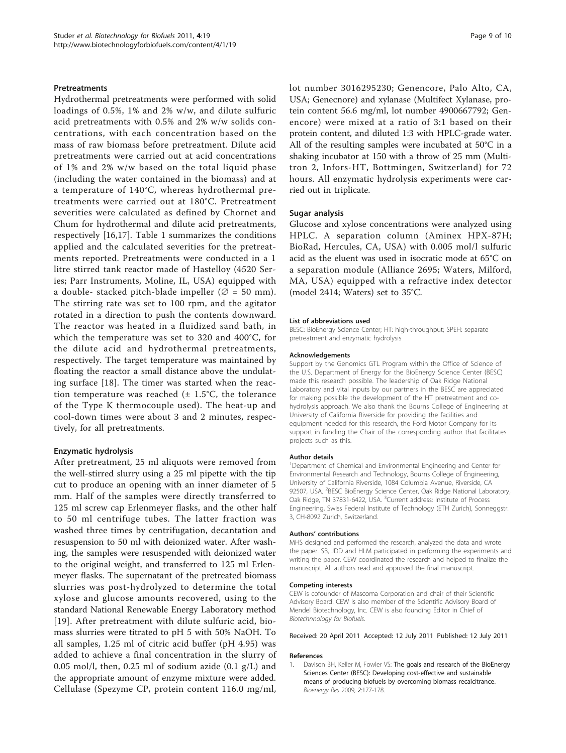#### <span id="page-8-0"></span>Pretreatments

Hydrothermal pretreatments were performed with solid loadings of 0.5%, 1% and 2% w/w, and dilute sulfuric acid pretreatments with 0.5% and 2% w/w solids concentrations, with each concentration based on the mass of raw biomass before pretreatment. Dilute acid pretreatments were carried out at acid concentrations of 1% and 2% w/w based on the total liquid phase (including the water contained in the biomass) and at a temperature of 140°C, whereas hydrothermal pretreatments were carried out at 180°C. Pretreatment severities were calculated as defined by Chornet and Chum for hydrothermal and dilute acid pretreatments, respectively [[16,17\]](#page-9-0). Table [1](#page-2-0) summarizes the conditions applied and the calculated severities for the pretreatments reported. Pretreatments were conducted in a 1 litre stirred tank reactor made of Hastelloy (4520 Series; Parr Instruments, Moline, IL, USA) equipped with a double- stacked pitch-blade impeller ( $\varnothing$  = 50 mm). The stirring rate was set to 100 rpm, and the agitator rotated in a direction to push the contents downward. The reactor was heated in a fluidized sand bath, in which the temperature was set to 320 and 400°C, for the dilute acid and hydrothermal pretreatments, respectively. The target temperature was maintained by floating the reactor a small distance above the undulating surface [[18\]](#page-9-0). The timer was started when the reaction temperature was reached  $(\pm 1.5^{\circ}C,$  the tolerance of the Type K thermocouple used). The heat-up and cool-down times were about 3 and 2 minutes, respectively, for all pretreatments.

#### Enzymatic hydrolysis

After pretreatment, 25 ml aliquots were removed from the well-stirred slurry using a 25 ml pipette with the tip cut to produce an opening with an inner diameter of 5 mm. Half of the samples were directly transferred to 125 ml screw cap Erlenmeyer flasks, and the other half to 50 ml centrifuge tubes. The latter fraction was washed three times by centrifugation, decantation and resuspension to 50 ml with deionized water. After washing, the samples were resuspended with deionized water to the original weight, and transferred to 125 ml Erlenmeyer flasks. The supernatant of the pretreated biomass slurries was post-hydrolyzed to determine the total xylose and glucose amounts recovered, using to the standard National Renewable Energy Laboratory method [[19](#page-9-0)]. After pretreatment with dilute sulfuric acid, biomass slurries were titrated to pH 5 with 50% NaOH. To all samples, 1.25 ml of citric acid buffer (pH 4.95) was added to achieve a final concentration in the slurry of 0.05 mol/l, then, 0.25 ml of sodium azide  $(0.1 \text{ g/L})$  and the appropriate amount of enzyme mixture were added. Cellulase (Spezyme CP, protein content 116.0 mg/ml,

lot number 3016295230; Genencore, Palo Alto, CA, USA; Genecnore) and xylanase (Multifect Xylanase, protein content 56.6 mg/ml, lot number 4900667792; Genencore) were mixed at a ratio of 3:1 based on their protein content, and diluted 1:3 with HPLC-grade water. All of the resulting samples were incubated at 50°C in a shaking incubator at 150 with a throw of 25 mm (Multitron 2, Infors-HT, Bottmingen, Switzerland) for 72 hours. All enzymatic hydrolysis experiments were carried out in triplicate.

#### Sugar analysis

Glucose and xylose concentrations were analyzed using HPLC. A separation column (Aminex HPX-87H; BioRad, Hercules, CA, USA) with 0.005 mol/l sulfuric acid as the eluent was used in isocratic mode at 65°C on a separation module (Alliance 2695; Waters, Milford, MA, USA) equipped with a refractive index detector (model 2414; Waters) set to 35°C.

#### List of abbreviations used

BESC: BioEnergy Science Center; HT: high-throughput; SPEH: separate pretreatment and enzymatic hydrolysis

#### Acknowledgements

Support by the Genomics GTL Program within the Office of Science of the U.S. Department of Energy for the BioEnergy Science Center (BESC) made this research possible. The leadership of Oak Ridge National Laboratory and vital inputs by our partners in the BESC are appreciated for making possible the development of the HT pretreatment and cohydrolysis approach. We also thank the Bourns College of Engineering at University of California Riverside for providing the facilities and equipment needed for this research, the Ford Motor Company for its support in funding the Chair of the corresponding author that facilitates projects such as this.

#### Author details

<sup>1</sup>Department of Chemical and Environmental Engineering and Center for Environmental Research and Technology, Bourns College of Engineering, University of California Riverside, 1084 Columbia Avenue, Riverside, CA 92507, USA. <sup>2</sup>BESC BioEnergy Science Center, Oak Ridge National Laboratory, Oak Ridge, TN 37831-6422, USA. <sup>3</sup>Current address: Institute of Process Engineering, Swiss Federal Institute of Technology (ETH Zurich), Sonneggstr. 3, CH-8092 Zurich, Switzerland.

#### Authors' contributions

MHS designed and performed the research, analyzed the data and wrote the paper. SB, JDD and HLM participated in performing the experiments and writing the paper. CEW coordinated the research and helped to finalize the manuscript. All authors read and approved the final manuscript.

#### Competing interests

CEW is cofounder of Mascoma Corporation and chair of their Scientific Advisory Board. CEW is also member of the Scientific Advisory Board of Mendel Biotechnology, Inc. CEW is also founding Editor in Chief of Biotechnnology for Biofuels.

Received: 20 April 2011 Accepted: 12 July 2011 Published: 12 July 2011

#### References

1. Davison BH, Keller M, Fowler VS: The goals and research of the BioEnergy Sciences Center (BESC): Developing cost-effective and sustainable means of producing biofuels by overcoming biomass recalcitrance. Bioenergy Res 2009, 2:177-178.